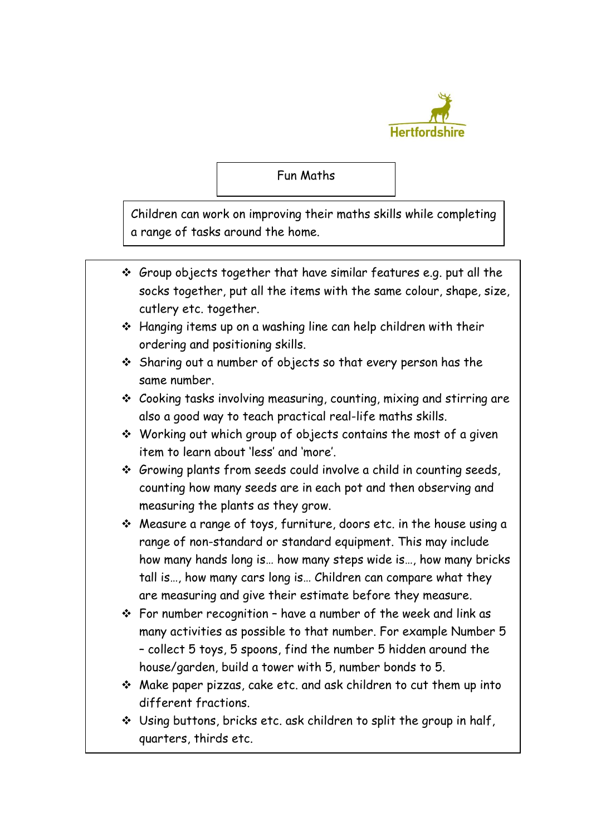

## Fun Maths

Children can work on improving their maths skills while completing a range of tasks around the home.

- $\div$  Group objects together that have similar features e.g. put all the socks together, put all the items with the same colour, shape, size, cutlery etc. together.
- Hanging items up on a washing line can help children with their ordering and positioning skills.
- Sharing out a number of objects so that every person has the same number.
- Cooking tasks involving measuring, counting, mixing and stirring are also a good way to teach practical real-life maths skills.
- $\cdot$  Working out which group of objects contains the most of a given item to learn about 'less' and 'more'.
- $\div$  Growing plants from seeds could involve a child in counting seeds, counting how many seeds are in each pot and then observing and measuring the plants as they grow.
- Measure a range of toys, furniture, doors etc. in the house using a range of non-standard or standard equipment. This may include how many hands long is… how many steps wide is…, how many bricks tall is…, how many cars long is… Children can compare what they are measuring and give their estimate before they measure.
- $\div$  For number recognition have a number of the week and link as many activities as possible to that number. For example Number 5 – collect 5 toys, 5 spoons, find the number 5 hidden around the house/garden, build a tower with 5, number bonds to 5.
- Make paper pizzas, cake etc. and ask children to cut them up into different fractions.
- Using buttons, bricks etc. ask children to split the group in half, quarters, thirds etc.

Ξ